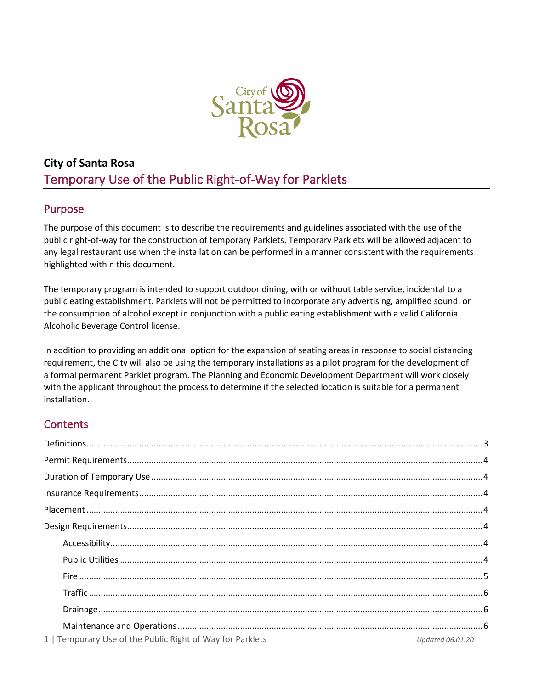

# **City of Santa Rosa**  Temporary Use of the Public Right-of-Way for Parklets

# Purpose

The purpose of this document is to describe the requirements and guidelines associated with the use of the public right-of-way for the construction of temporary Parklets. Temporary Parklets will be allowed adjacent to any legal restaurant use when the installation can be performed in a manner consistent with the requirements highlighted within this document.

The temporary program is intended to support outdoor dining, with or without table service, incidental to a public eating establishment. Parklets will not be permitted to incorporate any advertising, amplified sound, or the consumption of alcohol except in conjunction with a public eating establishment with a valid California Alcoholic Beverage Control license.

In addition to providing an additional option for the expansion of seating areas in response to social distancing requirement, the City will also be using the temporary installations as a pilot program for the development of a formal permanent Parklet program. The Planning and Economic Development Department will work closely with the applicant throughout the process to determine if the selected location is suitable for a permanent installation.

# **Contents**

| 1   Temporary Use of the Public Right of Way for Parklets<br>Updated 06.01.20 |  |
|-------------------------------------------------------------------------------|--|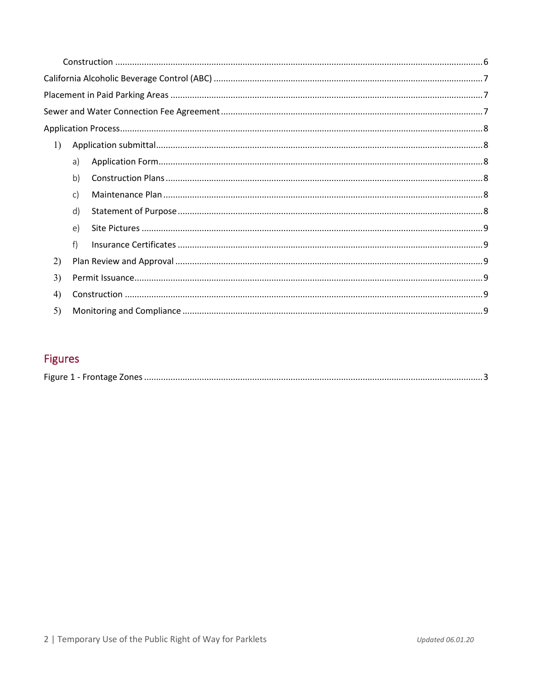| 1)                |              |  |  |
|-------------------|--------------|--|--|
|                   | a)           |  |  |
|                   | b)           |  |  |
|                   | $\mathsf{C}$ |  |  |
|                   | d)           |  |  |
|                   | e)           |  |  |
|                   | f            |  |  |
| 2)                |              |  |  |
| 3)                |              |  |  |
| $\left( 4\right)$ |              |  |  |
| 5)                |              |  |  |

# Figures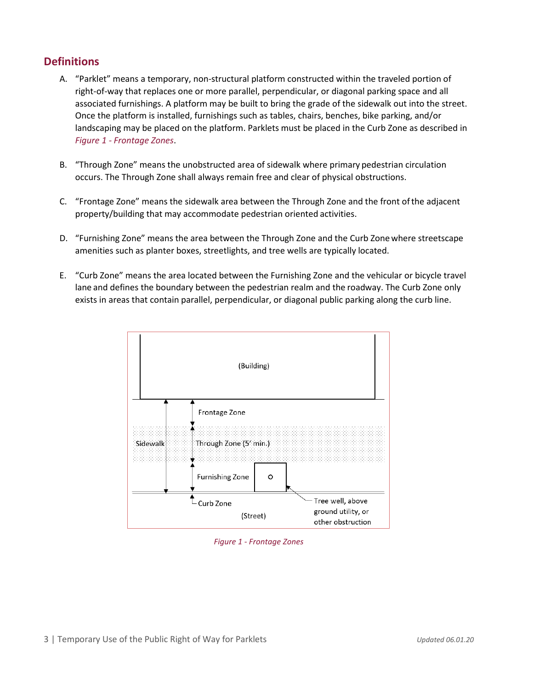# <span id="page-2-0"></span>**Definitions**

- A. "Parklet" means a temporary, non-structural platform constructed within the traveled portion of right-of-way that replaces one or more parallel, perpendicular, or diagonal parking space and all associated furnishings. A platform may be built to bring the grade of the sidewalk out into the street. Once the platform is installed, furnishings such as tables, chairs, benches, bike parking, and/or landscaping may be placed on the platform. Parklets must be placed in the Curb Zone as described in *Figure 1 - [Frontage](#page-2-1) Zones*.
- B. "Through Zone" means the unobstructed area of sidewalk where primary pedestrian circulation occurs. The Through Zone shall always remain free and clear of physical obstructions.
- C. "Frontage Zone" means the sidewalk area between the Through Zone and the front ofthe adjacent property/building that may accommodate pedestrian oriented activities.
- D. "Furnishing Zone" means the area between the Through Zone and the Curb Zonewhere streetscape amenities such as planter boxes, streetlights, and tree wells are typically located.
- E. "Curb Zone" means the area located between the Furnishing Zone and the vehicular or bicycle travel lane and defines the boundary between the pedestrian realm and the roadway. The Curb Zone only exists in areas that contain parallel, perpendicular, or diagonal public parking along the curb line.



<span id="page-2-1"></span>*Figure 1 - Frontage Zones*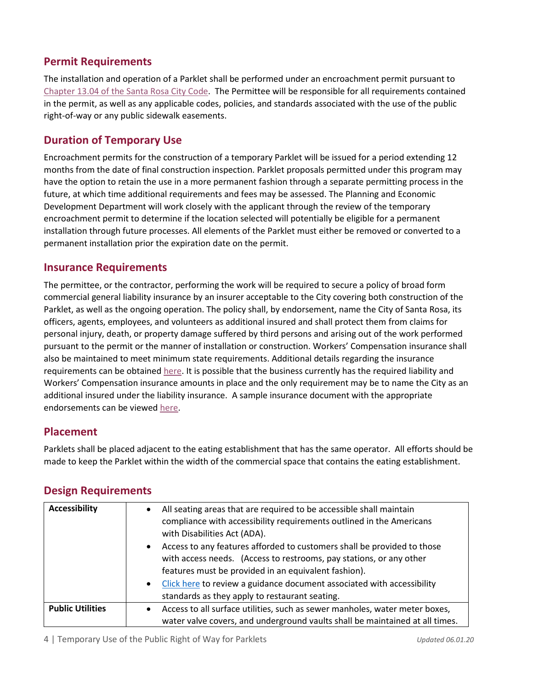## <span id="page-3-0"></span>**Permit Requirements**

The installation and operation of a Parklet shall be performed under an encroachment permit pursuant to [Chapter 13.04 of the Santa Rosa City Code.](http://qcode.us/codes/santarosa/view.php?topic=13-13_04&frames=off) The Permittee will be responsible for all requirements contained in the permit, as well as any applicable codes, policies, and standards associated with the use of the public right-of-way or any public sidewalk easements.

### <span id="page-3-1"></span>**Duration of Temporary Use**

Encroachment permits for the construction of a temporary Parklet will be issued for a period extending 12 months from the date of final construction inspection. Parklet proposals permitted under this program may have the option to retain the use in a more permanent fashion through a separate permitting process in the future, at which time additional requirements and fees may be assessed. The Planning and Economic Development Department will work closely with the applicant through the review of the temporary encroachment permit to determine if the location selected will potentially be eligible for a permanent installation through future processes. All elements of the Parklet must either be removed or converted to a permanent installation prior the expiration date on the permit.

#### <span id="page-3-2"></span>**Insurance Requirements**

The permittee, or the contractor, performing the work will be required to secure a policy of broad form commercial general liability insurance by an insurer acceptable to the City covering both construction of the Parklet, as well as the ongoing operation. The policy shall, by endorsement, name the City of Santa Rosa, its officers, agents, employees, and volunteers as additional insured and shall protect them from claims for personal injury, death, or property damage suffered by third persons and arising out of the work performed pursuant to the permit or the manner of installation or construction. Workers' Compensation insurance shall also be maintained to meet minimum state requirements. Additional details regarding the insurance requirements can be obtained [here.](https://srcity.org/DocumentCenter/View/28329/Encroachment-Permit-Insurance-Requirements) It is possible that the business currently has the required liability and Workers' Compensation insurance amounts in place and the only requirement may be to name the City as an additional insured under the liability insurance. A sample insurance document with the appropriate endorsements can be viewed [here.](https://srcity.org/DocumentCenter/View/28328/Encroachment-Permit-Insurance-Sample)

### <span id="page-3-3"></span>**Placement**

Parklets shall be placed adjacent to the eating establishment that has the same operator. All efforts should be made to keep the Parklet within the width of the commercial space that contains the eating establishment.

<span id="page-3-6"></span><span id="page-3-5"></span>

| <b>Accessibility</b>    | All seating areas that are required to be accessible shall maintain<br>$\bullet$<br>compliance with accessibility requirements outlined in the Americans<br>with Disabilities Act (ADA).<br>Access to any features afforded to customers shall be provided to those<br>$\bullet$<br>with access needs. (Access to restrooms, pay stations, or any other<br>features must be provided in an equivalent fashion).<br>Click here to review a guidance document associated with accessibility<br>$\bullet$<br>standards as they apply to restaurant seating. |
|-------------------------|----------------------------------------------------------------------------------------------------------------------------------------------------------------------------------------------------------------------------------------------------------------------------------------------------------------------------------------------------------------------------------------------------------------------------------------------------------------------------------------------------------------------------------------------------------|
|                         |                                                                                                                                                                                                                                                                                                                                                                                                                                                                                                                                                          |
| <b>Public Utilities</b> | Access to all surface utilities, such as sewer manholes, water meter boxes,<br>$\bullet$<br>water valve covers, and underground vaults shall be maintained at all times.                                                                                                                                                                                                                                                                                                                                                                                 |

### <span id="page-3-4"></span>**Design Requirements**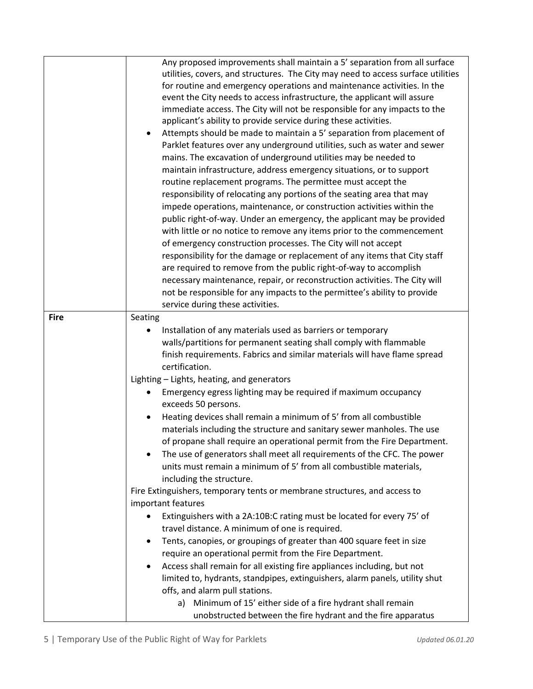<span id="page-4-0"></span>

|             | Any proposed improvements shall maintain a 5' separation from all surface          |
|-------------|------------------------------------------------------------------------------------|
|             | utilities, covers, and structures. The City may need to access surface utilities   |
|             | for routine and emergency operations and maintenance activities. In the            |
|             | event the City needs to access infrastructure, the applicant will assure           |
|             | immediate access. The City will not be responsible for any impacts to the          |
|             | applicant's ability to provide service during these activities.                    |
|             | Attempts should be made to maintain a 5' separation from placement of<br>٠         |
|             | Parklet features over any underground utilities, such as water and sewer           |
|             | mains. The excavation of underground utilities may be needed to                    |
|             | maintain infrastructure, address emergency situations, or to support               |
|             | routine replacement programs. The permittee must accept the                        |
|             | responsibility of relocating any portions of the seating area that may             |
|             | impede operations, maintenance, or construction activities within the              |
|             | public right-of-way. Under an emergency, the applicant may be provided             |
|             | with little or no notice to remove any items prior to the commencement             |
|             |                                                                                    |
|             | of emergency construction processes. The City will not accept                      |
|             | responsibility for the damage or replacement of any items that City staff          |
|             | are required to remove from the public right-of-way to accomplish                  |
|             | necessary maintenance, repair, or reconstruction activities. The City will         |
|             | not be responsible for any impacts to the permittee's ability to provide           |
|             | service during these activities.                                                   |
| <b>Fire</b> | Seating                                                                            |
|             | Installation of any materials used as barriers or temporary                        |
|             | walls/partitions for permanent seating shall comply with flammable                 |
|             | finish requirements. Fabrics and similar materials will have flame spread          |
|             | certification.                                                                     |
|             | Lighting - Lights, heating, and generators                                         |
|             | Emergency egress lighting may be required if maximum occupancy                     |
|             | exceeds 50 persons.                                                                |
|             | Heating devices shall remain a minimum of 5' from all combustible                  |
|             | materials including the structure and sanitary sewer manholes. The use             |
|             | of propane shall require an operational permit from the Fire Department.           |
|             | The use of generators shall meet all requirements of the CFC. The power            |
|             |                                                                                    |
|             | units must remain a minimum of 5' from all combustible materials,                  |
|             | including the structure.                                                           |
|             | Fire Extinguishers, temporary tents or membrane structures, and access to          |
|             | important features                                                                 |
|             | Extinguishers with a 2A:10B:C rating must be located for every 75' of<br>$\bullet$ |
|             | travel distance. A minimum of one is required.                                     |
|             | Tents, canopies, or groupings of greater than 400 square feet in size<br>$\bullet$ |
|             | require an operational permit from the Fire Department.                            |
|             | Access shall remain for all existing fire appliances including, but not<br>٠       |
|             | limited to, hydrants, standpipes, extinguishers, alarm panels, utility shut        |
|             | offs, and alarm pull stations.                                                     |
|             | Minimum of 15' either side of a fire hydrant shall remain<br>a)                    |
|             | unobstructed between the fire hydrant and the fire apparatus                       |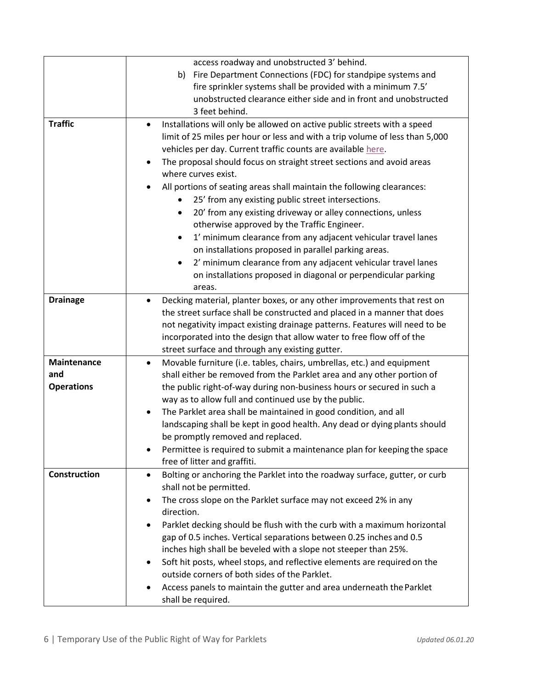<span id="page-5-3"></span><span id="page-5-2"></span><span id="page-5-1"></span><span id="page-5-0"></span>

|                     | access roadway and unobstructed 3' behind.                                              |
|---------------------|-----------------------------------------------------------------------------------------|
|                     | Fire Department Connections (FDC) for standpipe systems and<br>b)                       |
|                     | fire sprinkler systems shall be provided with a minimum 7.5'                            |
|                     | unobstructed clearance either side and in front and unobstructed                        |
|                     | 3 feet behind.                                                                          |
| <b>Traffic</b>      | Installations will only be allowed on active public streets with a speed<br>$\bullet$   |
|                     | limit of 25 miles per hour or less and with a trip volume of less than 5,000            |
|                     | vehicles per day. Current traffic counts are available here.                            |
|                     | The proposal should focus on straight street sections and avoid areas<br>$\bullet$      |
|                     | where curves exist.                                                                     |
|                     | All portions of seating areas shall maintain the following clearances:                  |
|                     | 25' from any existing public street intersections.<br>$\bullet$                         |
|                     | 20' from any existing driveway or alley connections, unless<br>$\bullet$                |
|                     | otherwise approved by the Traffic Engineer.                                             |
|                     | 1' minimum clearance from any adjacent vehicular travel lanes<br>$\bullet$              |
|                     | on installations proposed in parallel parking areas.                                    |
|                     | 2' minimum clearance from any adjacent vehicular travel lanes<br>$\bullet$              |
|                     | on installations proposed in diagonal or perpendicular parking                          |
|                     | areas.                                                                                  |
| <b>Drainage</b>     | Decking material, planter boxes, or any other improvements that rest on<br>$\bullet$    |
|                     | the street surface shall be constructed and placed in a manner that does                |
|                     | not negativity impact existing drainage patterns. Features will need to be              |
|                     | incorporated into the design that allow water to free flow off of the                   |
|                     | street surface and through any existing gutter.                                         |
| <b>Maintenance</b>  | Movable furniture (i.e. tables, chairs, umbrellas, etc.) and equipment<br>$\bullet$     |
| and                 | shall either be removed from the Parklet area and any other portion of                  |
| <b>Operations</b>   | the public right-of-way during non-business hours or secured in such a                  |
|                     | way as to allow full and continued use by the public.                                   |
|                     | The Parklet area shall be maintained in good condition, and all<br>$\bullet$            |
|                     | landscaping shall be kept in good health. Any dead or dying plants should               |
|                     | be promptly removed and replaced.                                                       |
|                     | Permittee is required to submit a maintenance plan for keeping the space                |
|                     | free of litter and graffiti.                                                            |
| <b>Construction</b> | Bolting or anchoring the Parklet into the roadway surface, gutter, or curb<br>$\bullet$ |
|                     | shall not be permitted.                                                                 |
|                     | The cross slope on the Parklet surface may not exceed 2% in any<br>$\bullet$            |
|                     | direction.                                                                              |
|                     | Parklet decking should be flush with the curb with a maximum horizontal<br>٠            |
|                     | gap of 0.5 inches. Vertical separations between 0.25 inches and 0.5                     |
|                     | inches high shall be beveled with a slope not steeper than 25%.                         |
|                     | Soft hit posts, wheel stops, and reflective elements are required on the<br>$\bullet$   |
|                     | outside corners of both sides of the Parklet.                                           |
|                     | Access panels to maintain the gutter and area underneath the Parklet<br>$\bullet$       |
|                     | shall be required.                                                                      |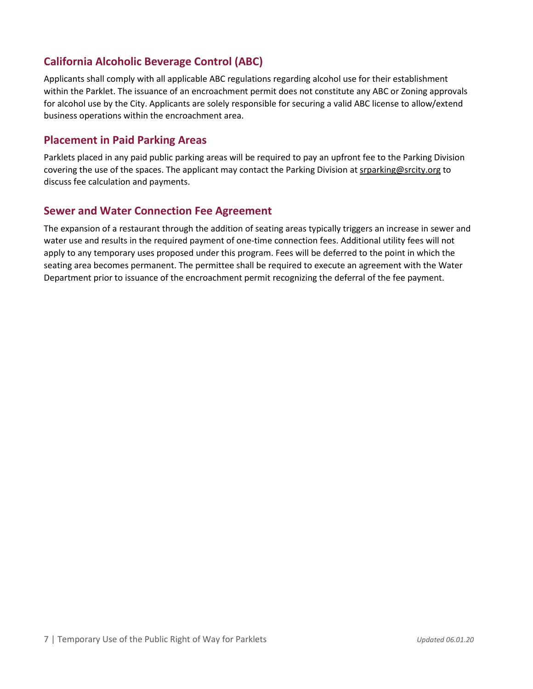# <span id="page-6-0"></span>**California Alcoholic Beverage Control (ABC)**

Applicants shall comply with all applicable ABC regulations regarding alcohol use for their establishment within the Parklet. The issuance of an encroachment permit does not constitute any ABC or Zoning approvals for alcohol use by the City. Applicants are solely responsible for securing a valid ABC license to allow/extend business operations within the encroachment area.

## <span id="page-6-1"></span>**Placement in Paid Parking Areas**

Parklets placed in any paid public parking areas will be required to pay an upfront fee to the Parking Division covering the use of the spaces. The applicant may contact the Parking Division a[t srparking@srcity.org](mailto:srparking@srcity.org) to discuss fee calculation and payments.

### <span id="page-6-2"></span>**Sewer and Water Connection Fee Agreement**

The expansion of a restaurant through the addition of seating areas typically triggers an increase in sewer and water use and results in the required payment of one-time connection fees. Additional utility fees will not apply to any temporary uses proposed under this program. Fees will be deferred to the point in which the seating area becomes permanent. The permittee shall be required to execute an agreement with the Water Department prior to issuance of the encroachment permit recognizing the deferral of the fee payment.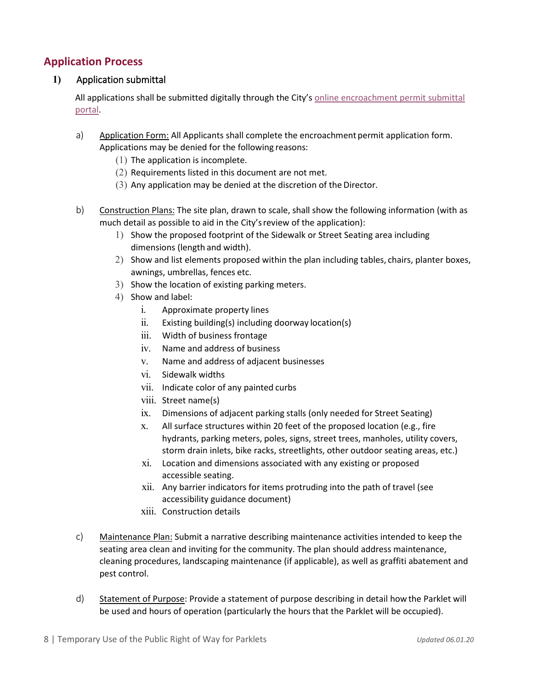## <span id="page-7-0"></span>**Application Process**

#### <span id="page-7-1"></span>**1)** Application submittal

All applications shall be submitted digitally through the City's [online encroachment permit submittal](https://app.oncamino.com/santarosa-ca/login)  [portal.](https://app.oncamino.com/santarosa-ca/login)

- <span id="page-7-2"></span>a) Application Form: All Applicants shall complete the encroachment permit application form. Applications may be denied for the following reasons:
	- $(1)$  The application is incomplete.
	- (2) Requirements listed in this document are not met.
	- (3) Any application may be denied at the discretion of the Director.
- <span id="page-7-3"></span>b) Construction Plans: The site plan, drawn to scale, shall show the following information (with as much detail as possible to aid in the City'sreview of the application):
	- 1) Show the proposed footprint of the Sidewalk or Street Seating area including dimensions (length and width).
	- 2) Show and list elements proposed within the plan including tables, chairs, planter boxes, awnings, umbrellas, fences etc.
	- 3) Show the location of existing parking meters.
	- 4) Show and label:
		- i. Approximate property lines
		- ii. Existing building(s) including doorway location(s)
		- iii. Width of business frontage
		- iv. Name and address of business
		- v. Name and address of adjacent businesses
		- vi. Sidewalk widths
		- vii. Indicate color of any painted curbs
		- viii. Street name(s)
		- ix. Dimensions of adjacent parking stalls (only needed for Street Seating)
		- x. All surface structures within 20 feet of the proposed location (e.g., fire hydrants, parking meters, poles, signs, street trees, manholes, utility covers, storm drain inlets, bike racks, streetlights, other outdoor seating areas, etc.)
		- xi. Location and dimensions associated with any existing or proposed accessible seating.
		- xii. Any barrier indicators for items protruding into the path of travel (see accessibility guidance document)
		- xiii. Construction details
- <span id="page-7-4"></span>c) Maintenance Plan: Submit a narrative describing maintenance activities intended to keep the seating area clean and inviting for the community. The plan should address maintenance, cleaning procedures, landscaping maintenance (if applicable), as well as graffiti abatement and pest control.
- <span id="page-7-5"></span>d) Statement of Purpose: Provide a statement of purpose describing in detail how the Parklet will be used and hours of operation (particularly the hours that the Parklet will be occupied).